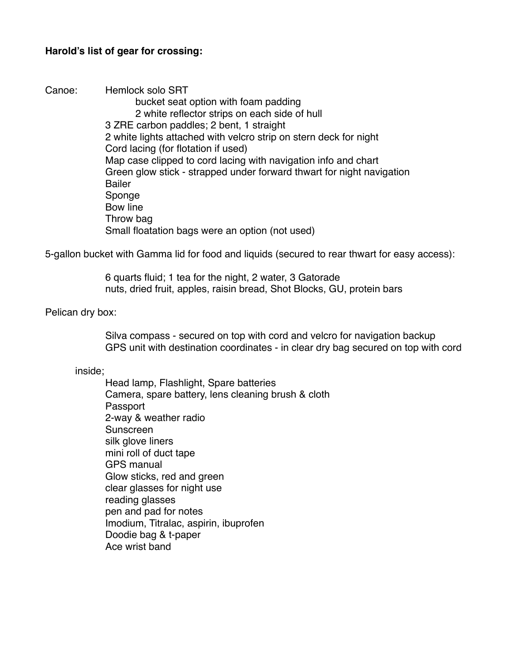## **Harold's list of gear for crossing:**

Canoe: Hemlock solo SRT bucket seat option with foam padding 2 white reflector strips on each side of hull 3 ZRE carbon paddles; 2 bent, 1 straight 2 white lights attached with velcro strip on stern deck for night Cord lacing (for flotation if used) Map case clipped to cord lacing with navigation info and chart Green glow stick - strapped under forward thwart for night navigation **Bailer** Sponge Bow line Throw bag Small floatation bags were an option (not used)

5-gallon bucket with Gamma lid for food and liquids (secured to rear thwart for easy access):

! ! 6 quarts fluid; 1 tea for the night, 2 water, 3 Gatorade nuts, dried fruit, apples, raisin bread, Shot Blocks, GU, protein bars

## Pelican dry box:

Silva compass - secured on top with cord and velcro for navigation backup ! ! GPS unit with destination coordinates - in clear dry bag secured on top with cord

## inside;

Head lamp, Flashlight, Spare batteries Camera, spare battery, lens cleaning brush & cloth Passport 2-way & weather radio Sunscreen silk glove liners mini roll of duct tape **GPS manual** Glow sticks, red and green clear glasses for night use reading glasses pen and pad for notes Imodium, Titralac, aspirin, ibuprofen Doodie bag & t-paper Ace wrist band